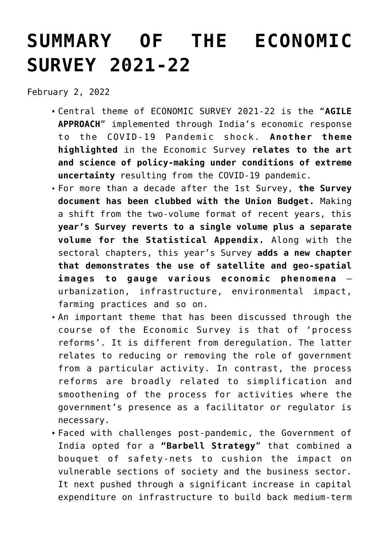# **[SUMMARY OF THE ECONOMIC](https://journalsofindia.com/summary-of-the-economic-survey-2021-22/) [SURVEY 2021-22](https://journalsofindia.com/summary-of-the-economic-survey-2021-22/)**

February 2, 2022

- Central theme of ECONOMIC SURVEY 2021-22 is the "**AGILE APPROACH**" implemented through India's economic response to the COVID-19 Pandemic shock. **Another theme highlighted** in the Economic Survey **relates to the art and science of policy-making under conditions of extreme uncertainty** resulting from the COVID-19 pandemic.
- For more than a decade after the 1st Survey, **the Survey document has been clubbed with the Union Budget.** Making a shift from the two-volume format of recent years, this **year's Survey reverts to a single volume plus a separate volume for the Statistical Appendix.** Along with the sectoral chapters, this year's Survey **adds a new chapter that demonstrates the use of satellite and geo-spatial images to gauge various economic phenomena** – urbanization, infrastructure, environmental impact, farming practices and so on.
- An important theme that has been discussed through the course of the Economic Survey is that of 'process reforms'. It is different from deregulation. The latter relates to reducing or removing the role of government from a particular activity. In contrast, the process reforms are broadly related to simplification and smoothening of the process for activities where the government's presence as a facilitator or regulator is necessary.
- Faced with challenges post-pandemic, the Government of India opted for a **"Barbell Strategy**" that combined a bouquet of safety-nets to cushion the impact on vulnerable sections of society and the business sector. It next pushed through a significant increase in capital expenditure on infrastructure to build back medium-term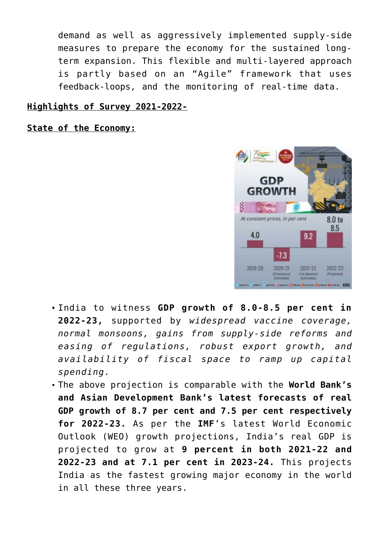demand as well as aggressively implemented supply-side measures to prepare the economy for the sustained longterm expansion. This flexible and multi-layered approach is partly based on an "Agile" framework that uses feedback-loops, and the monitoring of real-time data.

#### **Highlights of Survey 2021-2022-**

**State of the Economy:**



- India to witness **GDP growth of 8.0-8.5 per cent in 2022-23,** supported by *widespread vaccine coverage, normal monsoons, gains from supply-side reforms and easing of regulations, robust export growth, and availability of fiscal space to ramp up capital spending.*
- The above projection is comparable with the **World Bank's and Asian Development Bank's latest forecasts of real GDP growth of 8.7 per cent and 7.5 per cent respectively for 2022-23.** As per the **IMF**'s latest World Economic Outlook (WEO) growth projections, India's real GDP is projected to grow at **9 percent in both 2021-22 and 2022-23 and at 7.1 per cent in 2023-24.** This projects India as the fastest growing major economy in the world in all these three years.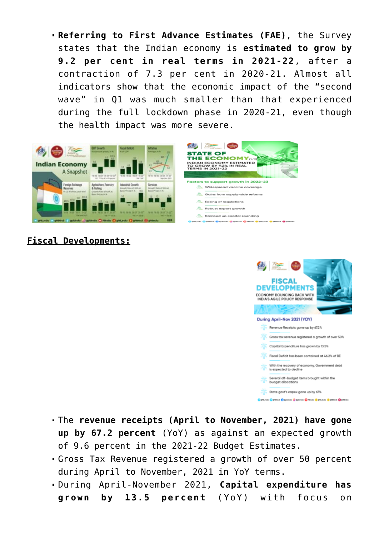**Referring to First Advance Estimates (FAE)**, the Survey states that the Indian economy is **estimated to grow by 9.2 per cent in real terms in 2021-22**, after a contraction of 7.3 per cent in 2020-21. Almost all indicators show that the economic impact of the "second wave" in Q1 was much smaller than that experienced during the full lockdown phase in 2020-21, even though the health impact was more severe.





## **Fiscal Developments:**



- The **revenue receipts (April to November, 2021) have gone up by 67.2 percent** (YoY) as against an expected growth of 9.6 percent in the 2021-22 Budget Estimates.
- Gross Tax Revenue registered a growth of over 50 percent during April to November, 2021 in YoY terms.
- During April-November 2021, **Capital expenditure has grown by 13.5 percent** (YoY) with focus on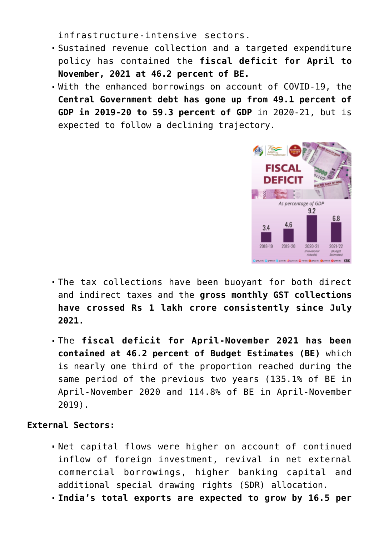infrastructure-intensive sectors.

- Sustained revenue collection and a targeted expenditure policy has contained the **fiscal deficit for April to November, 2021 at 46.2 percent of BE.**
- With the enhanced borrowings on account of COVID-19, the **Central Government debt has gone up from 49.1 percent of GDP in 2019-20 to 59.3 percent of GDP** in 2020-21, but is expected to follow a declining trajectory.



- The tax collections have been buoyant for both direct and indirect taxes and the **gross monthly GST collections have crossed Rs 1 lakh crore consistently since July 2021.**
- The **fiscal deficit for April-November 2021 has been contained at 46.2 percent of Budget Estimates (BE)** which is nearly one third of the proportion reached during the same period of the previous two years (135.1% of BE in April-November 2020 and 114.8% of BE in April-November 2019).

## **External Sectors:**

- Net capital flows were higher on account of continued inflow of foreign investment, revival in net external commercial borrowings, higher banking capital and additional special drawing rights (SDR) allocation.
- **India's total exports are expected to grow by 16.5 per**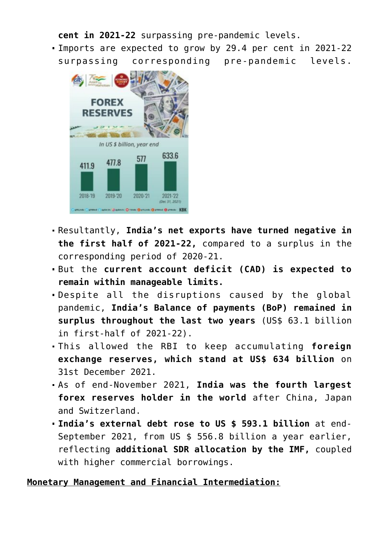**cent in 2021-22** surpassing pre-pandemic levels. Imports are expected to grow by 29.4 per cent in 2021-22

surpassing corresponding pre-pandemic levels.



- Resultantly, **India's net exports have turned negative in the first half of 2021-22,** compared to a surplus in the corresponding period of 2020-21.
- But the **current account deficit (CAD) is expected to remain within manageable limits.**
- Despite all the disruptions caused by the global pandemic, **India's Balance of payments (BoP) remained in surplus throughout the last two years** (US\$ 63.1 billion in first-half of 2021-22).
- This allowed the RBI to keep accumulating **foreign exchange reserves, which stand at US\$ 634 billion** on 31st December 2021.
- As of end-November 2021, **India was the fourth largest forex reserves holder in the world** after China, Japan and Switzerland.
- **India's external debt rose to US \$ 593.1 billion** at end-September 2021, from US \$ 556.8 billion a year earlier, reflecting **additional SDR allocation by the IMF,** coupled with higher commercial borrowings.

## **Monetary Management and Financial Intermediation:**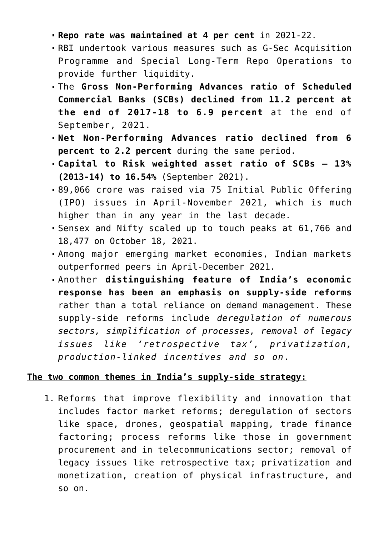- **Repo rate was maintained at 4 per cent** in 2021-22.
- RBI undertook various measures such as G-Sec Acquisition Programme and Special Long-Term Repo Operations to provide further liquidity.
- The **Gross Non-Performing Advances ratio of Scheduled Commercial Banks (SCBs) declined from 11.2 percent at the end of 2017-18 to 6.9 percent** at the end of September, 2021.
- **Net Non-Performing Advances ratio declined from 6 percent to 2.2 percent** during the same period.
- **Capital to Risk weighted asset ratio of SCBs 13% (2013-14) to 16.54%** (September 2021).
- 89,066 crore was raised via 75 Initial Public Offering (IPO) issues in April-November 2021, which is much higher than in any year in the last decade.
- Sensex and Nifty scaled up to touch peaks at 61,766 and 18,477 on October 18, 2021.
- Among major emerging market economies, Indian markets outperformed peers in April-December 2021.
- Another **distinguishing feature of India's economic response has been an emphasis on supply-side reforms** rather than a total reliance on demand management. These supply-side reforms include *deregulation of numerous sectors, simplification of processes, removal of legacy issues like 'retrospective tax', privatization, production-linked incentives and so on*.

## **The two common themes in India's supply-side strategy:**

1. Reforms that improve flexibility and innovation that includes factor market reforms; deregulation of sectors like space, drones, geospatial mapping, trade finance factoring; process reforms like those in government procurement and in telecommunications sector; removal of legacy issues like retrospective tax; privatization and monetization, creation of physical infrastructure, and so on.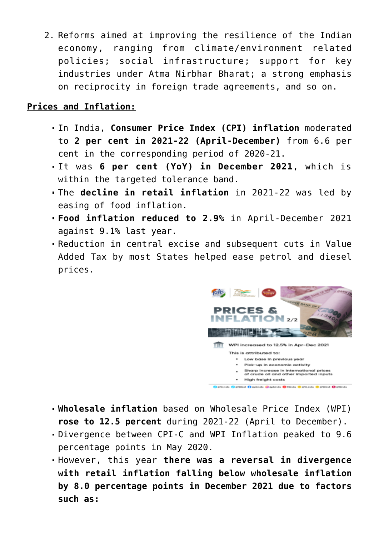2. Reforms aimed at improving the resilience of the Indian economy, ranging from climate/environment related policies; social infrastructure; support for key industries under Atma Nirbhar Bharat; a strong emphasis on reciprocity in foreign trade agreements, and so on.

## **Prices and Inflation:**

- In India, **Consumer Price Index (CPI) inflation** moderated to **2 per cent in 2021-22 (April-December)** from 6.6 per cent in the corresponding period of 2020-21.
- It was **6 per cent (YoY) in December 2021**, which is within the targeted tolerance band.
- The **decline in retail inflation** in 2021-22 was led by easing of food inflation.
- **Food inflation reduced to 2.9%** in April-December 2021 against 9.1% last year.
- Reduction in central excise and subsequent cuts in Value Added Tax by most States helped ease petrol and diesel prices.



- **Wholesale inflation** based on Wholesale Price Index (WPI) **rose to 12.5 percent** during 2021-22 (April to December).
- Divergence between CPI-C and WPI Inflation peaked to 9.6 percentage points in May 2020.
- However, this year **there was a reversal in divergence with retail inflation falling below wholesale inflation by 8.0 percentage points in December 2021 due to factors such as:**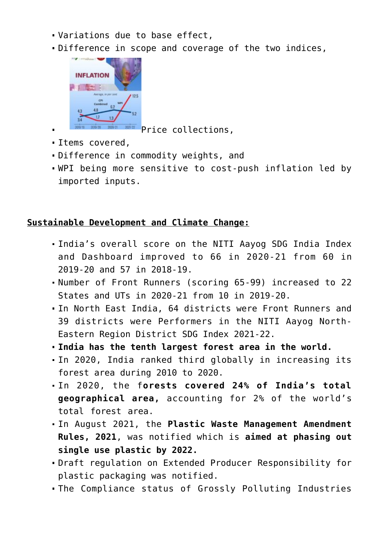- Variations due to base effect,
- Difference in scope and coverage of the two indices,



- Price collections,
- Items covered,
- Difference in commodity weights, and
- WPI being more sensitive to cost-push inflation led by imported inputs.

# **Sustainable Development and Climate Change:**

- India's overall score on the NITI Aayog SDG India Index and Dashboard improved to 66 in 2020-21 from 60 in 2019-20 and 57 in 2018-19.
- Number of Front Runners (scoring 65-99) increased to 22 States and UTs in 2020-21 from 10 in 2019-20.
- In North East India, 64 districts were Front Runners and 39 districts were Performers in the NITI Aayog North-Eastern Region District SDG Index 2021-22.
- **India has the tenth largest forest area in the world.**
- In 2020, India ranked third globally in increasing its forest area during 2010 to 2020.
- In 2020, the f**orests covered 24% of India's total geographical area,** accounting for 2% of the world's total forest area.
- In August 2021, the **Plastic Waste Management Amendment Rules, 2021**, was notified which is **aimed at phasing out single use plastic by 2022.**
- Draft regulation on Extended Producer Responsibility for plastic packaging was notified.
- The Compliance status of Grossly Polluting Industries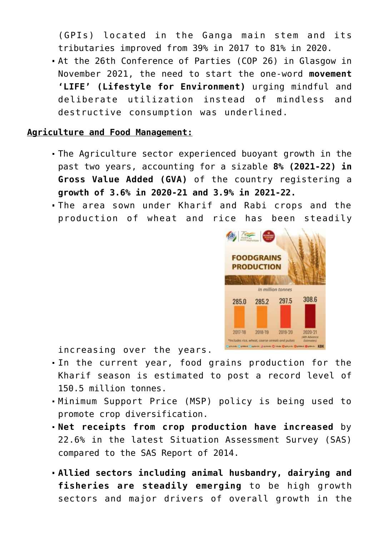(GPIs) located in the Ganga main stem and its tributaries improved from 39% in 2017 to 81% in 2020.

At the 26th Conference of Parties (COP 26) in Glasgow in November 2021, the need to start the one-word **movement 'LIFE' (Lifestyle for Environment)** urging mindful and deliberate utilization instead of mindless and destructive consumption was underlined.

### **Agriculture and Food Management:**

- The Agriculture sector experienced buoyant growth in the past two years, accounting for a sizable **8% (2021-22) in Gross Value Added (GVA)** of the country registering a **growth of 3.6% in 2020-21 and 3.9% in 2021-22.**
- The area sown under Kharif and Rabi crops and the production of wheat and rice has been steadily



increasing over the years.

- In the current year, food grains production for the Kharif season is estimated to post a record level of 150.5 million tonnes.
- Minimum Support Price (MSP) policy is being used to promote crop diversification.
- **Net receipts from crop production have increased** by 22.6% in the latest Situation Assessment Survey (SAS) compared to the SAS Report of 2014.
- **Allied sectors including animal husbandry, dairying and fisheries are steadily emerging** to be high growth sectors and major drivers of overall growth in the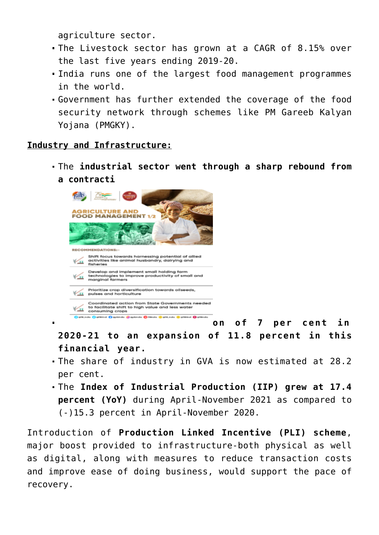agriculture sector.

- The Livestock sector has grown at a CAGR of 8.15% over the last five years ending 2019-20.
- India runs one of the largest food management programmes in the world.
- Government has further extended the coverage of the food security network through schemes like PM Gareeb Kalyan Yojana (PMGKY).

## **Industry and Infrastructure:**

The **industrial sector went through a sharp rebound from a contracti**



**on of 7 per cent in**

**2020-21 to an expansion of 11.8 percent in this financial year.**

- The share of industry in GVA is now estimated at 28.2 per cent.
- The **Index of Industrial Production (IIP) grew at 17.4 percent (YoY)** during April-November 2021 as compared to (-)15.3 percent in April-November 2020.

Introduction of **Production Linked Incentive (PLI) scheme**, major boost provided to infrastructure-both physical as well as digital, along with measures to reduce transaction costs and improve ease of doing business, would support the pace of recovery.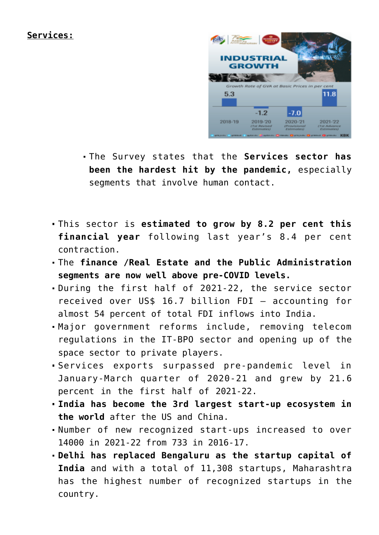## **Services:**



- The Survey states that the **Services sector has been the hardest hit by the pandemic,** especially segments that involve human contact.
- This sector is **estimated to grow by 8.2 per cent this financial year** following last year's 8.4 per cent contraction.
- The **finance /Real Estate and the Public Administration segments are now well above pre-COVID levels.**
- During the first half of 2021-22, the service sector received over US\$ 16.7 billion FDI – accounting for almost 54 percent of total FDI inflows into India.
- Major government reforms include, removing telecom regulations in the IT-BPO sector and opening up of the space sector to private players.
- Services exports surpassed pre-pandemic level in January-March quarter of 2020-21 and grew by 21.6 percent in the first half of 2021-22.
- **India has become the 3rd largest start-up ecosystem in the world** after the US and China.
- Number of new recognized start-ups increased to over 14000 in 2021-22 from 733 in 2016-17.
- **Delhi has replaced Bengaluru as the startup capital of India** and with a total of 11,308 startups, Maharashtra has the highest number of recognized startups in the country.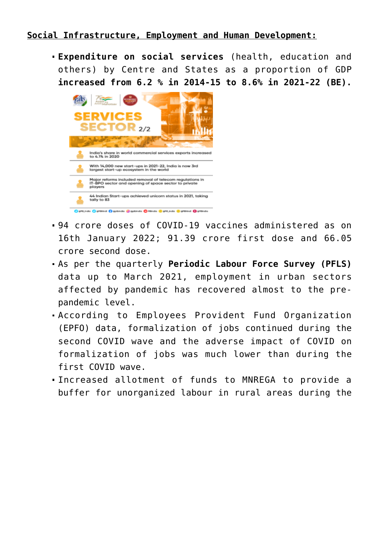## **Social Infrastructure, Employment and Human Development:**

**Expenditure on social services** (health, education and others) by Centre and States as a proportion of GDP **increased from 6.2 % in 2014-15 to 8.6% in 2021-22 (BE).**



- 94 crore doses of COVID-19 vaccines administered as on 16th January 2022; 91.39 crore first dose and 66.05 crore second dose.
- As per the quarterly **Periodic Labour Force Survey (PFLS)** data up to March 2021, employment in urban sectors affected by pandemic has recovered almost to the prepandemic level.
- According to Employees Provident Fund Organization (EPFO) data, formalization of jobs continued during the second COVID wave and the adverse impact of COVID on formalization of jobs was much lower than during the first COVID wave.
- Increased allotment of funds to MNREGA to provide a buffer for unorganized labour in rural areas during the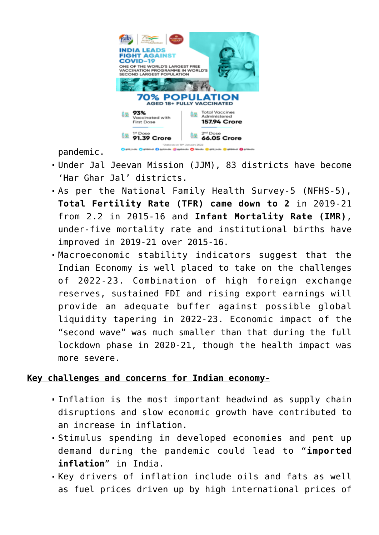

pandemic.

- Under Jal Jeevan Mission (JJM), 83 districts have become 'Har Ghar Jal' districts.
- As per the National Family Health Survey-5 (NFHS-5), **Total Fertility Rate (TFR) came down to 2** in 2019-21 from 2.2 in 2015-16 and **Infant Mortality Rate (IMR)**, under-five mortality rate and institutional births have improved in 2019-21 over 2015-16.
- Macroeconomic stability indicators suggest that the Indian Economy is well placed to take on the challenges of 2022-23. Combination of high foreign exchange reserves, sustained FDI and rising export earnings will provide an adequate buffer against possible global liquidity tapering in 2022-23. Economic impact of the "second wave" was much smaller than that during the full lockdown phase in 2020-21, though the health impact was more severe.

## **Key challenges and concerns for Indian economy-**

- Inflation is the most important headwind as supply chain disruptions and slow economic growth have contributed to an increase in inflation.
- Stimulus spending in developed economies and pent up demand during the pandemic could lead to "**imported inflation**" in India.
- Key drivers of inflation include oils and fats as well as fuel prices driven up by high international prices of